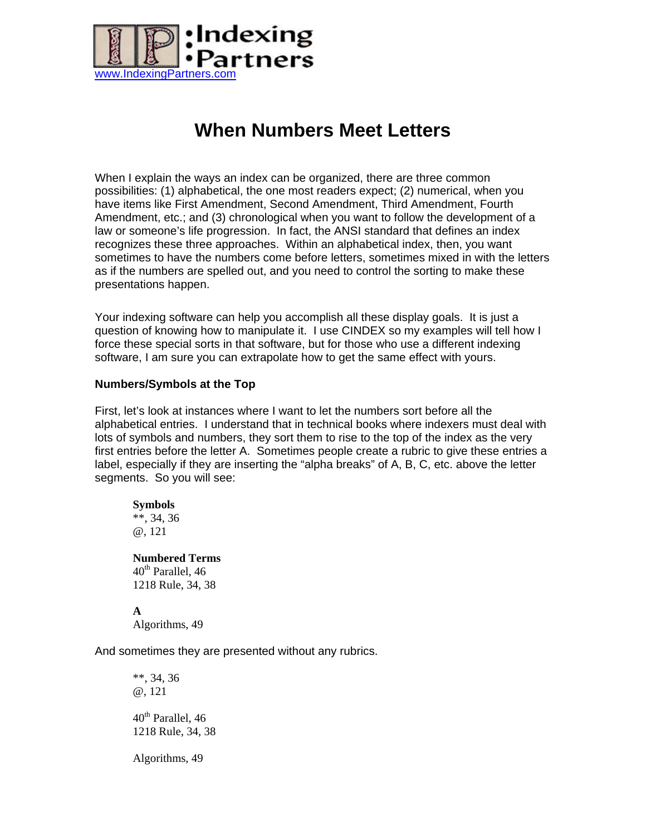

## **When Numbers Meet Letters**

When I explain the ways an index can be organized, there are three common possibilities: (1) alphabetical, the one most readers expect; (2) numerical, when you have items like First Amendment, Second Amendment, Third Amendment, Fourth Amendment, etc.; and (3) chronological when you want to follow the development of a law or someone's life progression. In fact, the ANSI standard that defines an index recognizes these three approaches. Within an alphabetical index, then, you want sometimes to have the numbers come before letters, sometimes mixed in with the letters as if the numbers are spelled out, and you need to control the sorting to make these presentations happen.

Your indexing software can help you accomplish all these display goals. It is just a question of knowing how to manipulate it. I use CINDEX so my examples will tell how I force these special sorts in that software, but for those who use a different indexing software, I am sure you can extrapolate how to get the same effect with yours.

## **Numbers/Symbols at the Top**

First, let's look at instances where I want to let the numbers sort before all the alphabetical entries. I understand that in technical books where indexers must deal with lots of symbols and numbers, they sort them to rise to the top of the index as the very first entries before the letter A. Sometimes people create a rubric to give these entries a label, especially if they are inserting the "alpha breaks" of A, B, C, etc. above the letter segments. So you will see:

**Symbols**  \*\*, 34, 36 @, 121

**Numbered Terms**   $40^{\text{th}}$  Parallel, 46 1218 Rule, 34, 38

**A**  Algorithms, 49

And sometimes they are presented without any rubrics.

\*\*, 34, 36 @, 121  $40<sup>th</sup>$  Parallel, 46 1218 Rule, 34, 38 Algorithms, 49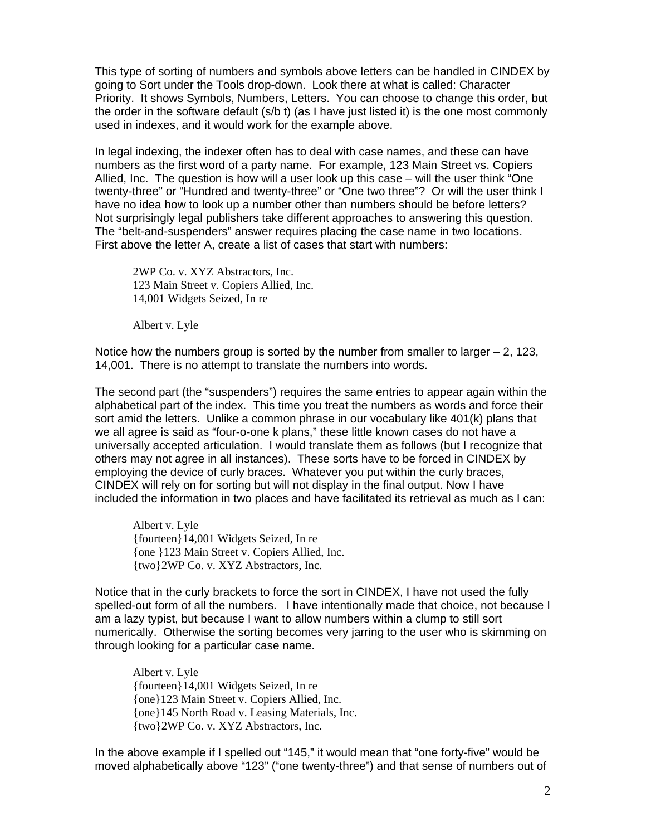This type of sorting of numbers and symbols above letters can be handled in CINDEX by going to Sort under the Tools drop-down. Look there at what is called: Character Priority. It shows Symbols, Numbers, Letters. You can choose to change this order, but the order in the software default (s/b t) (as I have just listed it) is the one most commonly used in indexes, and it would work for the example above.

In legal indexing, the indexer often has to deal with case names, and these can have numbers as the first word of a party name. For example, 123 Main Street vs. Copiers Allied, Inc. The question is how will a user look up this case – will the user think "One twenty-three" or "Hundred and twenty-three" or "One two three"? Or will the user think I have no idea how to look up a number other than numbers should be before letters? Not surprisingly legal publishers take different approaches to answering this question. The "belt-and-suspenders" answer requires placing the case name in two locations. First above the letter A, create a list of cases that start with numbers:

2WP Co. v. XYZ Abstractors, Inc. 123 Main Street v. Copiers Allied, Inc. 14,001 Widgets Seized, In re

Albert v. Lyle

Notice how the numbers group is sorted by the number from smaller to larger  $-2$ , 123, 14,001. There is no attempt to translate the numbers into words.

The second part (the "suspenders") requires the same entries to appear again within the alphabetical part of the index. This time you treat the numbers as words and force their sort amid the letters. Unlike a common phrase in our vocabulary like 401(k) plans that we all agree is said as "four-o-one k plans," these little known cases do not have a universally accepted articulation. I would translate them as follows (but I recognize that others may not agree in all instances). These sorts have to be forced in CINDEX by employing the device of curly braces. Whatever you put within the curly braces, CINDEX will rely on for sorting but will not display in the final output. Now I have included the information in two places and have facilitated its retrieval as much as I can:

Albert v. Lyle {fourteen}14,001 Widgets Seized, In re {one }123 Main Street v. Copiers Allied, Inc. {two}2WP Co. v. XYZ Abstractors, Inc.

Notice that in the curly brackets to force the sort in CINDEX, I have not used the fully spelled-out form of all the numbers. I have intentionally made that choice, not because I am a lazy typist, but because I want to allow numbers within a clump to still sort numerically. Otherwise the sorting becomes very jarring to the user who is skimming on through looking for a particular case name.

Albert v. Lyle {fourteen}14,001 Widgets Seized, In re {one}123 Main Street v. Copiers Allied, Inc. {one}145 North Road v. Leasing Materials, Inc. {two}2WP Co. v. XYZ Abstractors, Inc.

In the above example if I spelled out "145," it would mean that "one forty-five" would be moved alphabetically above "123" ("one twenty-three") and that sense of numbers out of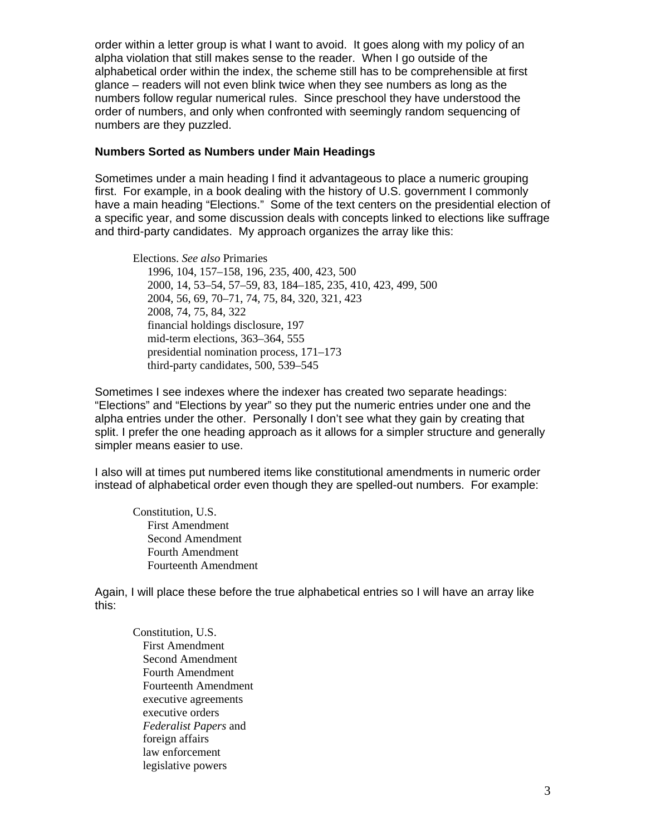order within a letter group is what I want to avoid. It goes along with my policy of an alpha violation that still makes sense to the reader. When I go outside of the alphabetical order within the index, the scheme still has to be comprehensible at first glance – readers will not even blink twice when they see numbers as long as the numbers follow regular numerical rules. Since preschool they have understood the order of numbers, and only when confronted with seemingly random sequencing of numbers are they puzzled.

## **Numbers Sorted as Numbers under Main Headings**

Sometimes under a main heading I find it advantageous to place a numeric grouping first. For example, in a book dealing with the history of U.S. government I commonly have a main heading "Elections." Some of the text centers on the presidential election of a specific year, and some discussion deals with concepts linked to elections like suffrage and third-party candidates. My approach organizes the array like this:

Elections. *See also* Primaries 1996, 104, 157–158, 196, 235, 400, 423, 500 2000, 14, 53–54, 57–59, 83, 184–185, 235, 410, 423, 499, 500 2004, 56, 69, 70–71, 74, 75, 84, 320, 321, 423 2008, 74, 75, 84, 322 financial holdings disclosure, 197 mid-term elections, 363–364, 555 presidential nomination process, 171–173 third-party candidates, 500, 539–545

Sometimes I see indexes where the indexer has created two separate headings: "Elections" and "Elections by year" so they put the numeric entries under one and the alpha entries under the other. Personally I don't see what they gain by creating that split. I prefer the one heading approach as it allows for a simpler structure and generally simpler means easier to use.

I also will at times put numbered items like constitutional amendments in numeric order instead of alphabetical order even though they are spelled-out numbers. For example:

Constitution, U.S. First Amendment Second Amendment Fourth Amendment Fourteenth Amendment

Again, I will place these before the true alphabetical entries so I will have an array like this:

Constitution, U.S. First Amendment Second Amendment Fourth Amendment Fourteenth Amendment executive agreements executive orders *Federalist Papers* and foreign affairs law enforcement legislative powers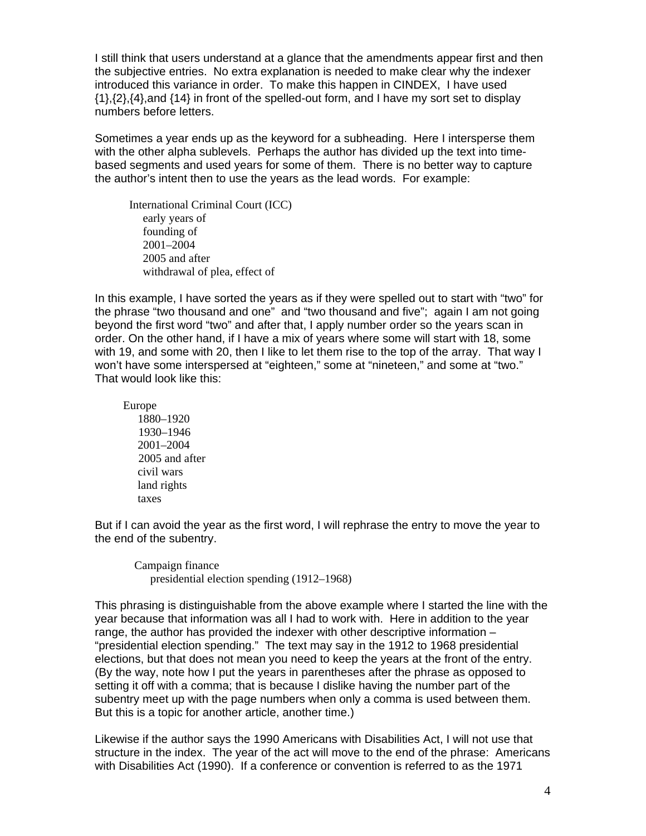I still think that users understand at a glance that the amendments appear first and then the subjective entries. No extra explanation is needed to make clear why the indexer introduced this variance in order. To make this happen in CINDEX, I have used {1},{2},{4},and {14} in front of the spelled-out form, and I have my sort set to display numbers before letters.

Sometimes a year ends up as the keyword for a subheading. Here I intersperse them with the other alpha sublevels. Perhaps the author has divided up the text into timebased segments and used years for some of them. There is no better way to capture the author's intent then to use the years as the lead words. For example:

 International Criminal Court (ICC) early years of founding of 2001–2004 2005 and after withdrawal of plea, effect of

In this example, I have sorted the years as if they were spelled out to start with "two" for the phrase "two thousand and one" and "two thousand and five"; again I am not going beyond the first word "two" and after that, I apply number order so the years scan in order. On the other hand, if I have a mix of years where some will start with 18, some with 19, and some with 20, then I like to let them rise to the top of the array. That way I won't have some interspersed at "eighteen," some at "nineteen," and some at "two." That would look like this:

 Europe 1880–1920 1930–1946 2001–2004 2005 and after civil wars land rights taxes

But if I can avoid the year as the first word, I will rephrase the entry to move the year to the end of the subentry.

 Campaign finance presidential election spending (1912–1968)

This phrasing is distinguishable from the above example where I started the line with the year because that information was all I had to work with. Here in addition to the year range, the author has provided the indexer with other descriptive information – "presidential election spending." The text may say in the 1912 to 1968 presidential elections, but that does not mean you need to keep the years at the front of the entry. (By the way, note how I put the years in parentheses after the phrase as opposed to setting it off with a comma; that is because I dislike having the number part of the subentry meet up with the page numbers when only a comma is used between them. But this is a topic for another article, another time.)

Likewise if the author says the 1990 Americans with Disabilities Act, I will not use that structure in the index. The year of the act will move to the end of the phrase: Americans with Disabilities Act (1990). If a conference or convention is referred to as the 1971